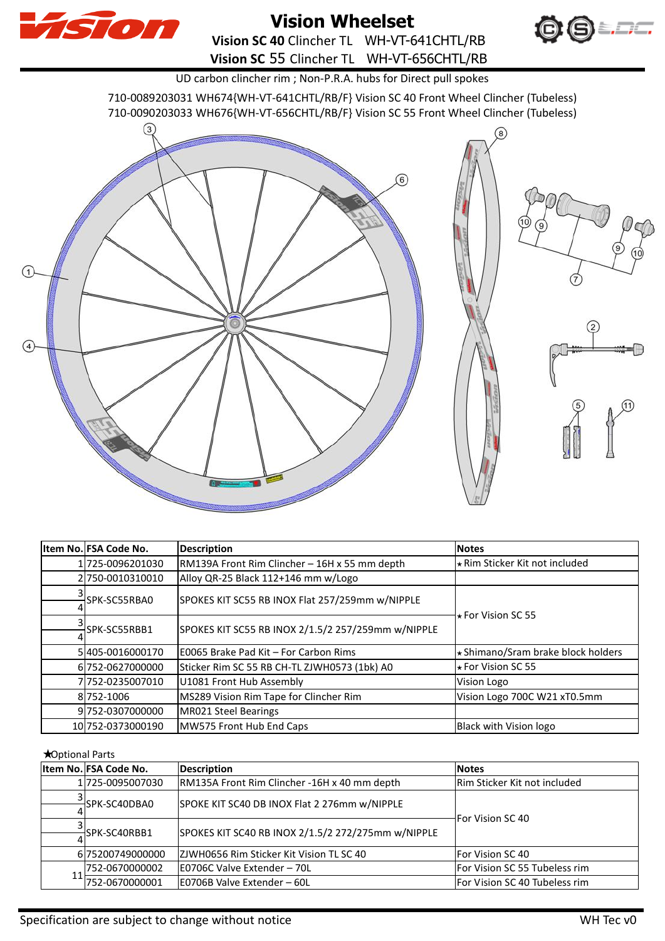

## **Vision Wheelset**

**Vision SC 40** Clincher TL WH-VT-641CHTL/RB **Vision SC** 55 Clincher TL WH-VT-656CHTL/RB



 $\binom{2}{2}$ 

UD carbon clincher rim ; Non-P.R.A. hubs for Direct pull spokes

710-0089203031 WH674{WH-VT-641CHTL/RB/F} Vision SC 40 Front Wheel Clincher (Tubeless)

710-0090203033 WH676{WH-VT-656CHTL/RB/F} Vision SC 55 Front Wheel Clincher (Tubeless)



|  | Item No. FSA Code No. | <b>Description</b>                                 | <b>Notes</b>                          |
|--|-----------------------|----------------------------------------------------|---------------------------------------|
|  | 1725-0096201030       | RM139A Front Rim Clincher - 16H x 55 mm depth      | <b>★ Rim Sticker Kit not included</b> |
|  | 2750-0010310010       | Alloy QR-25 Black 112+146 mm w/Logo                |                                       |
|  | SPK-SC55RBA0          | SPOKES KIT SC55 RB INOX Flat 257/259mm w/NIPPLE    | $\star$ For Vision SC 55              |
|  |                       |                                                    |                                       |
|  | SPK-SC55RBB1          | SPOKES KIT SC55 RB INOX 2/1.5/2 257/259mm w/NIPPLE |                                       |
|  |                       |                                                    |                                       |
|  | 5405-0016000170       | E0065 Brake Pad Kit - For Carbon Rims              | ★ Shimano/Sram brake block holders    |
|  | 6 752-0627000000      | Sticker Rim SC 55 RB CH-TL ZJWH0573 (1bk) A0       | $\star$ For Vision SC 55              |
|  | 7752-0235007010       | U1081 Front Hub Assembly                           | Vision Logo                           |
|  | 8 752-1006            | MS289 Vision Rim Tape for Clincher Rim             | Vision Logo 700C W21 xT0.5mm          |
|  | 9752-0307000000       | MR021 Steel Bearings                               |                                       |
|  | 10 752-0373000190     | MW575 Front Hub End Caps                           | Black with Vision logo                |

## ★Optional Parts

|  | Item No. FSA Code No. | <b>Description</b>                                 | <b>Notes</b>                  |
|--|-----------------------|----------------------------------------------------|-------------------------------|
|  | 1 725-0095007030      | RM135A Front Rim Clincher -16H x 40 mm depth       | Rim Sticker Kit not included  |
|  | SPK-SC40DBA0          | SPOKE KIT SC40 DB INOX Flat 2 276mm w/NIPPLE       | For Vision SC 40              |
|  | SPK-SC40RBB1          | SPOKES KIT SC40 RB INOX 2/1.5/2 272/275mm w/NIPPLE |                               |
|  | 6 75200749000000      | ZJWH0656 Rim Sticker Kit Vision TL SC 40           | <b>For Vision SC 40</b>       |
|  | 752-0670000002        | E0706C Valve Extender - 70L                        | For Vision SC 55 Tubeless rim |
|  | 752-0670000001        | E0706B Valve Extender - 60L                        | For Vision SC 40 Tubeless rim |